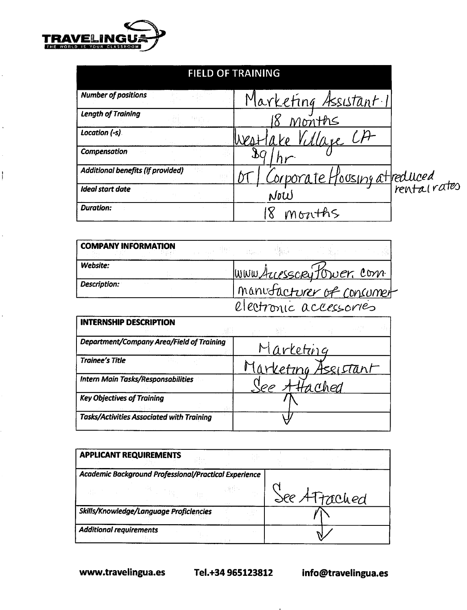

 $\ddot{\phantom{0}}$ 

 $\hat{\mathcal{A}}$ 

 $\hat{\boldsymbol{\beta}}$ 

 $\overline{1}$ 

 $\ddot{\phantom{0}}$ 

l,

| <b>Number of positions</b>        |       | <u>Marketing Assistant.1</u> |  |
|-----------------------------------|-------|------------------------------|--|
| <b>Length of Training</b>         | de pr | Months                       |  |
| Location (-s)                     |       | Villare CA                   |  |
| Compensation                      |       |                              |  |
| Additional benefits (if provided) |       | Corporate Housing attreduced |  |
| Ideal start date                  |       | NoW                          |  |
| <b>Duration:</b>                  |       | Months                       |  |

| <b>COMPANY INFORMATION</b> |  |                          |  |
|----------------------------|--|--------------------------|--|
| Website:                   |  | www.Auesscrytower.com    |  |
| Description:               |  | manufacturer of consumer |  |
|                            |  | electronic accessories   |  |

| <b>INTERNSHIP DESCRIPTION</b>                    |                     |
|--------------------------------------------------|---------------------|
| Department/Company Area/Field of Training        | Marketing           |
| <b>Trainee's Title</b>                           | Marketing Assistant |
| <b>Intern Main Tasks/Responsabilities</b>        | Attached            |
| <b>Key Objectives of Training</b>                |                     |
| <b>Tasks/Activities Associated with Training</b> |                     |

| <b>APPLICANT REQUIREMENTS</b>                         |  |  |              |  |
|-------------------------------------------------------|--|--|--------------|--|
| Academic Background Professional/Practical Experience |  |  |              |  |
|                                                       |  |  | See ATrached |  |
| Skills/Knowledge/Language Proficiencies               |  |  |              |  |
| <b>Additional requirements</b>                        |  |  |              |  |

www.travelingua.es Tel.+34 965123812

info@travelingua.es